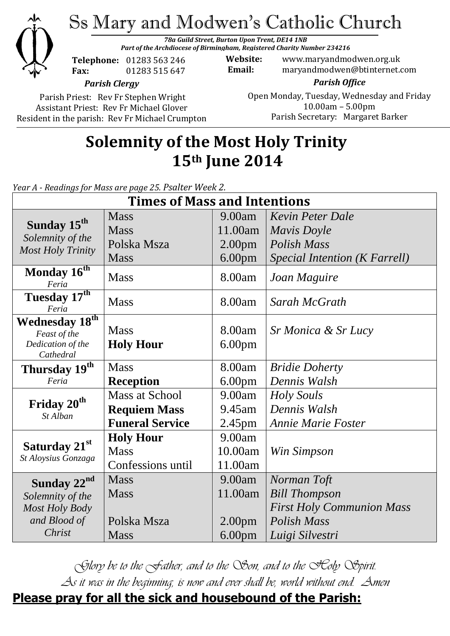

Ss Mary and Modwen's Catholic Church

*78a Guild Street, Burton Upon Trent, DE14 1NB Part of the Archdiocese of Birmingham, Registered Charity Number 234216*

**Telephone:** 01283 563 246 **Fax:** 01283 515 647

**Website:** www.maryandmodwen.org.uk **Email:** maryandmodwen@btinternet.com

*Parish Office*

*Parish Clergy*

Parish Priest: Rev Fr Stephen Wright Assistant Priest: Rev Fr Michael Glover Resident in the parish: Rev Fr Michael Crumpton

### Open Monday, Tuesday, Wednesday and Friday 10.00am – 5.00pm Parish Secretary:Margaret Barker

# **Solemnity of the Most Holy Trinity 15th June 2014**

*Year A - Readings for Mass are page 25. Psalter Week 2.*

| <b>Times of Mass and Intentions</b>                                     |                        |                    |                                  |
|-------------------------------------------------------------------------|------------------------|--------------------|----------------------------------|
| Sunday 15 <sup>th</sup><br>Solemnity of the<br><b>Most Holy Trinity</b> | <b>Mass</b>            | 9.00am             | <b>Kevin Peter Dale</b>          |
|                                                                         | <b>Mass</b>            | 11.00am            | <b>Mavis Doyle</b>               |
|                                                                         | Polska Msza            | 2.00 <sub>pm</sub> | Polish Mass                      |
|                                                                         | Mass                   | 6.00 <sub>pm</sub> | Special Intention (K Farrell)    |
| Monday 16 <sup>th</sup><br>Feria                                        | <b>Mass</b>            | 8.00am             | Joan Maguire                     |
| Tuesday 17th<br>Feria                                                   | <b>Mass</b>            | 8.00am             | Sarah McGrath                    |
| Wednesday 18 <sup>th</sup>                                              |                        |                    |                                  |
| Feast of the                                                            | <b>Mass</b>            | 8.00am             | Sr Monica & Sr Lucy              |
| Dedication of the<br>Cathedral                                          | <b>Holy Hour</b>       | 6.00 <sub>pm</sub> |                                  |
| Thursday 19th                                                           | <b>Mass</b>            | 8.00am             | <b>Bridie Doherty</b>            |
| Feria                                                                   | <b>Reception</b>       | 6.00 <sub>pm</sub> | Dennis Walsh                     |
| Friday 20 <sup>th</sup><br>St Alban                                     | <b>Mass at School</b>  | 9.00am             | <b>Holy Souls</b>                |
|                                                                         | <b>Requiem Mass</b>    | 9.45 am            | Dennis Walsh                     |
|                                                                         | <b>Funeral Service</b> | 2.45 <sub>pm</sub> | <b>Annie Marie Foster</b>        |
| Saturday 21st<br>St Aloysius Gonzaga                                    | <b>Holy Hour</b>       | 9.00am             |                                  |
|                                                                         | <b>Mass</b>            | 10.00am            | Win Simpson                      |
|                                                                         | Confessions until      | 11.00am            |                                  |
| Sunday 22 <sup>nd</sup>                                                 | <b>Mass</b>            | 9.00am             | Norman Toft                      |
| Solemnity of the                                                        | <b>Mass</b>            | 11.00am            | <b>Bill Thompson</b>             |
| <b>Most Holy Body</b>                                                   |                        |                    | <b>First Holy Communion Mass</b> |
| and Blood of                                                            | Polska Msza            | 2.00 <sub>pm</sub> | <b>Polish Mass</b>               |
| Christ                                                                  | <b>Mass</b>            | 6.00 <sub>pm</sub> | Luigi Silvestri                  |

*Glory be to the Father, and to the Son, and to the Holy Spirit. As it was in the beginning, is now and ever shall be, world without end. Amen* **Please pray for all the sick and housebound of the Parish:**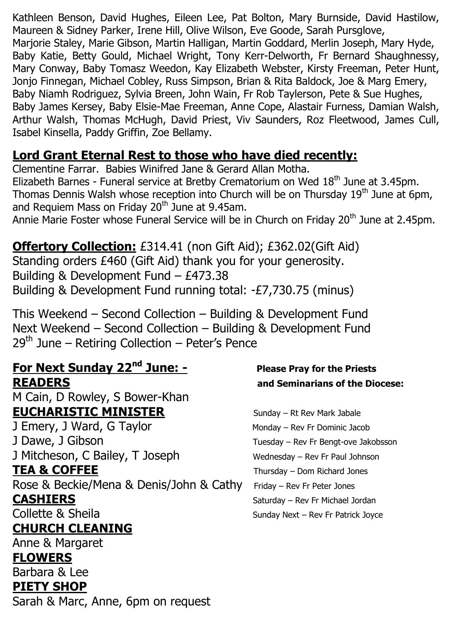Kathleen Benson, David Hughes, Eileen Lee, Pat Bolton, Mary Burnside, David Hastilow, Maureen & Sidney Parker, Irene Hill, Olive Wilson, Eve Goode, Sarah Pursglove, Marjorie Staley, Marie Gibson, Martin Halligan, Martin Goddard, Merlin Joseph, Mary Hyde, Baby Katie, Betty Gould, Michael Wright, Tony Kerr-Delworth, Fr Bernard Shaughnessy, Mary Conway, Baby Tomasz Weedon, Kay Elizabeth Webster, Kirsty Freeman, Peter Hunt, Jonjo Finnegan, Michael Cobley, Russ Simpson, Brian & Rita Baldock, Joe & Marg Emery, Baby Niamh Rodriguez, Sylvia Breen, John Wain, Fr Rob Taylerson, Pete & Sue Hughes, Baby James Kersey, Baby Elsie-Mae Freeman, Anne Cope, Alastair Furness, Damian Walsh, Arthur Walsh, Thomas McHugh, David Priest, Viv Saunders, Roz Fleetwood, James Cull, Isabel Kinsella, Paddy Griffin, Zoe Bellamy.

## **Lord Grant Eternal Rest to those who have died recently:**

Clementine Farrar. Babies Winifred Jane & Gerard Allan Motha. Elizabeth Barnes - Funeral service at Bretby Crematorium on Wed 18<sup>th</sup> June at 3.45pm. Thomas Dennis Walsh whose reception into Church will be on Thursday 19th June at 6pm, and Requiem Mass on Friday 20<sup>th</sup> June at 9.45am.

Annie Marie Foster whose Funeral Service will be in Church on Friday 20<sup>th</sup> June at 2.45pm.

## **Offertory Collection:** £314.41 (non Gift Aid); £362.02(Gift Aid)

Standing orders £460 (Gift Aid) thank you for your generosity. Building & Development Fund – £473.38 Building & Development Fund running total: -£7,730.75 (minus)

This Weekend – Second Collection – Building & Development Fund Next Weekend – Second Collection – Building & Development Fund  $29<sup>th</sup>$  June – Retiring Collection – Peter's Pence

### **For Next Sunday 22nd June: - Please Pray for the Priests READERS and Seminarians of the Diocese:**

M Cain, D Rowley, S Bower-Khan **EUCHARISTIC MINISTER** Sunday – Rt Rev Mark Jabale

J Emery, J Ward, G Taylor Monday – Rev Fr Dominic Jacob J Dawe, J Gibson **Tuesday – Rev Fr Bengt-ove Jakobsson** J Mitcheson, C Bailey, T Joseph Wednesday – Rev Fr Paul Johnson **TEA & COFFEE** Thursday – Dom Richard Jones Rose & Beckie/Mena & Denis/John & Cathy Friday – Rev Fr Peter Jones **CASHIERS** Saturday – Rev Fr Michael Jordan

# **CHURCH CLEANING**

Anne & Margaret

## **FLOWERS**

Barbara & Lee **PIETY SHOP**

Sarah & Marc, Anne, 6pm on request

Collette & Sheila Sunday Next – Rev Fr Patrick Joyce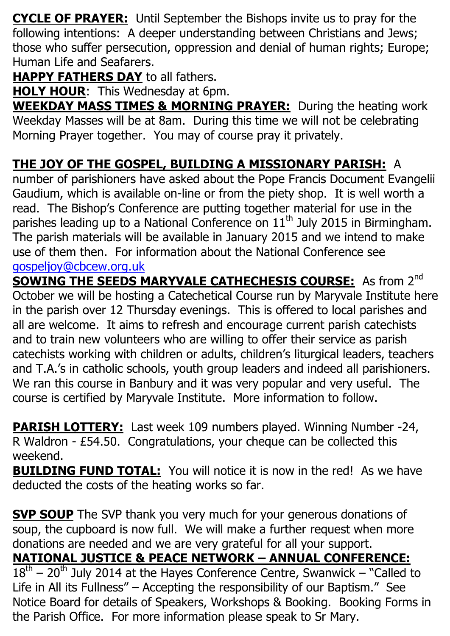**CYCLE OF PRAYER:** Until September the Bishops invite us to pray for the following intentions: A deeper understanding between Christians and Jews; those who suffer persecution, oppression and denial of human rights; Europe; Human Life and Seafarers.

**HAPPY FATHERS DAY** to all fathers.

**HOLY HOUR:** This Wednesday at 6pm.

**WEEKDAY MASS TIMES & MORNING PRAYER:** During the heating work Weekday Masses will be at 8am. During this time we will not be celebrating Morning Prayer together. You may of course pray it privately.

# **THE JOY OF THE GOSPEL, BUILDING A MISSIONARY PARISH:** A

number of parishioners have asked about the Pope Francis Document Evangelii Gaudium, which is available on-line or from the piety shop. It is well worth a read. The Bishop's Conference are putting together material for use in the parishes leading up to a National Conference on  $11<sup>th</sup>$  July 2015 in Birmingham. The parish materials will be available in January 2015 and we intend to make use of them then. For information about the National Conference see [gospeljoy@cbcew.org.uk](mailto:gospeljoy@cbcew.org.uk)

**SOWING THE SEEDS MARYVALE CATHECHESIS COURSE:** As from 2<sup>nd</sup> October we will be hosting a Catechetical Course run by Maryvale Institute here in the parish over 12 Thursday evenings. This is offered to local parishes and all are welcome. It aims to refresh and encourage current parish catechists and to train new volunteers who are willing to offer their service as parish catechists working with children or adults, children's liturgical leaders, teachers and T.A.'s in catholic schools, youth group leaders and indeed all parishioners. We ran this course in Banbury and it was very popular and very useful. The course is certified by Maryvale Institute. More information to follow.

**PARISH LOTTERY:** Last week 109 numbers played. Winning Number -24, R Waldron - £54.50. Congratulations, your cheque can be collected this weekend.

**BUILDING FUND TOTAL:** You will notice it is now in the red! As we have deducted the costs of the heating works so far.

**SVP SOUP** The SVP thank you very much for your generous donations of soup, the cupboard is now full. We will make a further request when more donations are needed and we are very grateful for all your support. **NATIONAL JUSTICE & PEACE NETWORK – ANNUAL CONFERENCE:**  $18<sup>th</sup> - 20<sup>th</sup>$  July 2014 at the Hayes Conference Centre, Swanwick – "Called to Life in All its Fullness" – Accepting the responsibility of our Baptism." See Notice Board for details of Speakers, Workshops & Booking. Booking Forms in the Parish Office. For more information please speak to Sr Mary.